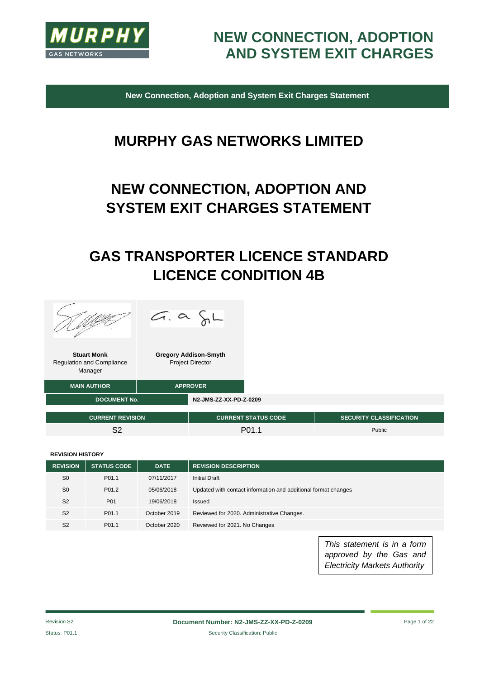

**New Connection, Adoption and System Exit Charges Statement**

# **MURPHY GAS NETWORKS LIMITED**

# **NEW CONNECTION, ADOPTION AND SYSTEM EXIT CHARGES STATEMENT**

# **GAS TRANSPORTER LICENCE STANDARD LICENCE CONDITION 4B**





| <b>Gregory Addison-Smyth</b> |
|------------------------------|
| <b>Project Director</b>      |

| <b>MAIN AUTHOR</b>      | <b>APPROVER</b> |                        |                            |                                |
|-------------------------|-----------------|------------------------|----------------------------|--------------------------------|
| <b>DOCUMENT No.</b>     |                 | N2-JMS-ZZ-XX-PD-Z-0209 |                            |                                |
| <b>CURRENT REVISION</b> |                 |                        | <b>CURRENT STATUS CODE</b> | <b>SECURITY CLASSIFICATION</b> |

S2 P01.1 Public Pole P01.1

#### **REVISION HISTORY**

| <b>REVISION</b> | <b>STATUS CODE</b> | <b>DATE</b>  | <b>REVISION DESCRIPTION</b>                                    |
|-----------------|--------------------|--------------|----------------------------------------------------------------|
| S <sub>0</sub>  | P <sub>01.1</sub>  | 07/11/2017   | <b>Initial Draft</b>                                           |
| S <sub>0</sub>  | P <sub>01.2</sub>  | 05/06/2018   | Updated with contact information and additional format changes |
| S <sub>2</sub>  | P <sub>01</sub>    | 19/06/2018   | Issued                                                         |
| S <sub>2</sub>  | P <sub>01.1</sub>  | October 2019 | Reviewed for 2020. Administrative Changes.                     |
| S <sub>2</sub>  | P01.1              | October 2020 | Reviewed for 2021. No Changes                                  |

*This statement is in a form approved by the Gas and Electricity Markets Authority*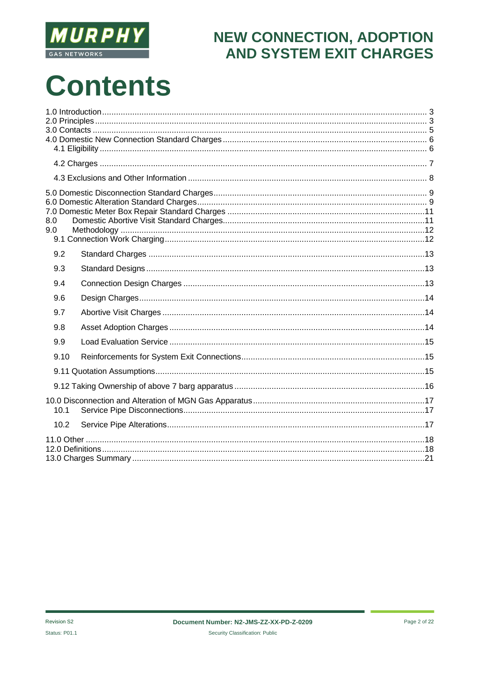

# **Contents**

| 8.0<br>9.0 |  |
|------------|--|
| 9.2        |  |
| 9.3        |  |
| 9.4        |  |
| 9.6        |  |
| 9.7        |  |
| 9.8        |  |
| 9.9        |  |
| 9.10       |  |
|            |  |
|            |  |
| 10.1       |  |
| 10.2       |  |
|            |  |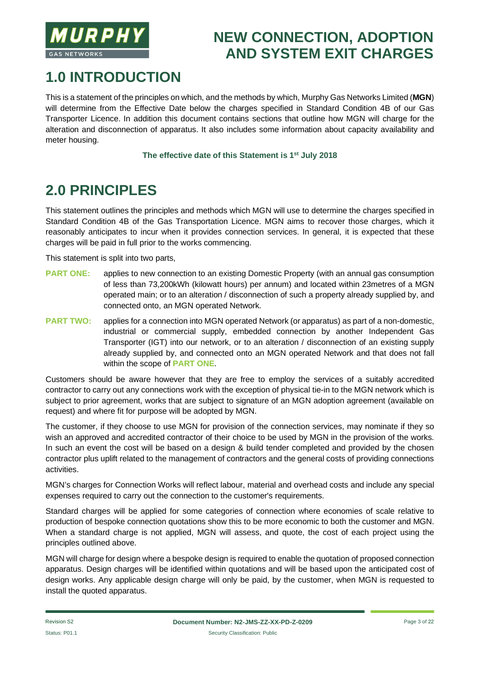

# **1.0 INTRODUCTION**

This is a statement of the principles on which, and the methods by which, Murphy Gas Networks Limited (**MGN**) will determine from the Effective Date below the charges specified in Standard Condition 4B of our Gas Transporter Licence. In addition this document contains sections that outline how MGN will charge for the alteration and disconnection of apparatus. It also includes some information about capacity availability and meter housing.

#### **The effective date of this Statement is 1st July 2018**

# **2.0 PRINCIPLES**

This statement outlines the principles and methods which MGN will use to determine the charges specified in Standard Condition 4B of the Gas Transportation Licence. MGN aims to recover those charges, which it reasonably anticipates to incur when it provides connection services. In general, it is expected that these charges will be paid in full prior to the works commencing.

This statement is split into two parts,

- **PART ONE:** applies to new connection to an existing Domestic Property (with an annual gas consumption of less than 73,200kWh (kilowatt hours) per annum) and located within 23metres of a MGN operated main; or to an alteration / disconnection of such a property already supplied by, and connected onto, an MGN operated Network.
- **PART TWO:** applies for a connection into MGN operated Network (or apparatus) as part of a non-domestic, industrial or commercial supply, embedded connection by another Independent Gas Transporter (IGT) into our network, or to an alteration / disconnection of an existing supply already supplied by, and connected onto an MGN operated Network and that does not fall within the scope of **PART ONE**.

Customers should be aware however that they are free to employ the services of a suitably accredited contractor to carry out any connections work with the exception of physical tie-in to the MGN network which is subject to prior agreement, works that are subject to signature of an MGN adoption agreement (available on request) and where fit for purpose will be adopted by MGN.

The customer, if they choose to use MGN for provision of the connection services, may nominate if they so wish an approved and accredited contractor of their choice to be used by MGN in the provision of the works. In such an event the cost will be based on a design & build tender completed and provided by the chosen contractor plus uplift related to the management of contractors and the general costs of providing connections activities.

MGN's charges for Connection Works will reflect labour, material and overhead costs and include any special expenses required to carry out the connection to the customer's requirements.

Standard charges will be applied for some categories of connection where economies of scale relative to production of bespoke connection quotations show this to be more economic to both the customer and MGN. When a standard charge is not applied, MGN will assess, and quote, the cost of each project using the principles outlined above.

MGN will charge for design where a bespoke design is required to enable the quotation of proposed connection apparatus. Design charges will be identified within quotations and will be based upon the anticipated cost of design works. Any applicable design charge will only be paid, by the customer, when MGN is requested to install the quoted apparatus.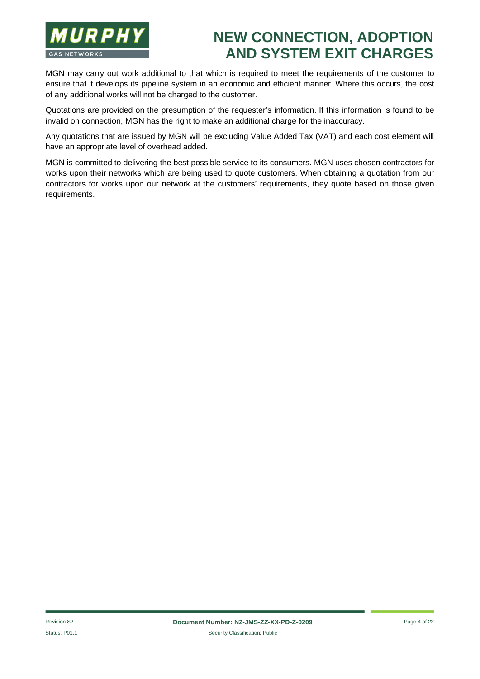

MGN may carry out work additional to that which is required to meet the requirements of the customer to ensure that it develops its pipeline system in an economic and efficient manner. Where this occurs, the cost of any additional works will not be charged to the customer.

Quotations are provided on the presumption of the requester's information. If this information is found to be invalid on connection, MGN has the right to make an additional charge for the inaccuracy.

Any quotations that are issued by MGN will be excluding Value Added Tax (VAT) and each cost element will have an appropriate level of overhead added.

MGN is committed to delivering the best possible service to its consumers. MGN uses chosen contractors for works upon their networks which are being used to quote customers. When obtaining a quotation from our contractors for works upon our network at the customers' requirements, they quote based on those given requirements.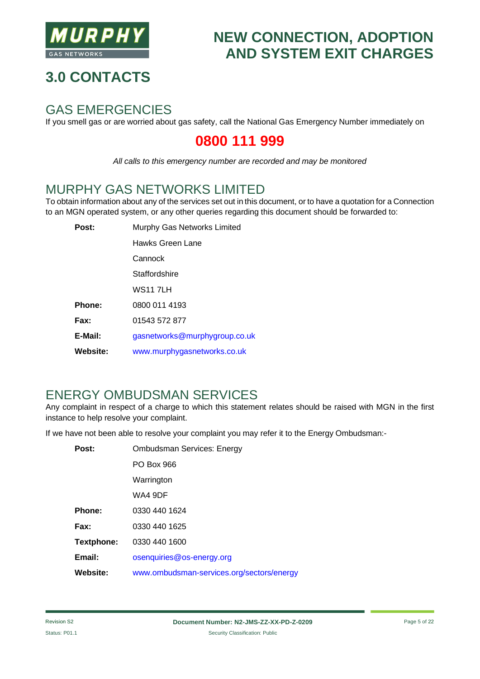

# **3.0 CONTACTS**

#### GAS EMERGENCIES

If you smell gas or are worried about gas safety, call the National Gas Emergency Number immediately on

#### **0800 111 999**

*All calls to this emergency number are recorded and may be monitored*

#### MURPHY GAS NETWORKS LIMITED

To obtain information about any of the services set out in this document, or to have a quotation for a Connection to an MGN operated system, or any other queries regarding this document should be forwarded to:

| Post:           | Murphy Gas Networks Limited   |
|-----------------|-------------------------------|
|                 | Hawks Green Lane              |
|                 | Cannock                       |
|                 | Staffordshire                 |
|                 | <b>WS11 7LH</b>               |
| Phone:          | 0800 011 4193                 |
| Fax:            | 01543 572 877                 |
| E-Mail:         | gasnetworks@murphygroup.co.uk |
| <b>Website:</b> | www.murphygasnetworks.co.uk   |

#### ENERGY OMBUDSMAN SERVICES

Any complaint in respect of a charge to which this statement relates should be raised with MGN in the first instance to help resolve your complaint.

If we have not been able to resolve your complaint you may refer it to the Energy Ombudsman:-

| Post:           | <b>Ombudsman Services: Energy</b>         |
|-----------------|-------------------------------------------|
|                 | PO Box 966                                |
|                 | Warrington                                |
|                 | WA4 9DF                                   |
| Phone:          | 0330 440 1624                             |
| Fax:            | 0330 440 1625                             |
| Textphone:      | 0330 440 1600                             |
| Email:          | osenquiries@os-energy.org                 |
| <b>Website:</b> | www.ombudsman-services.org/sectors/energy |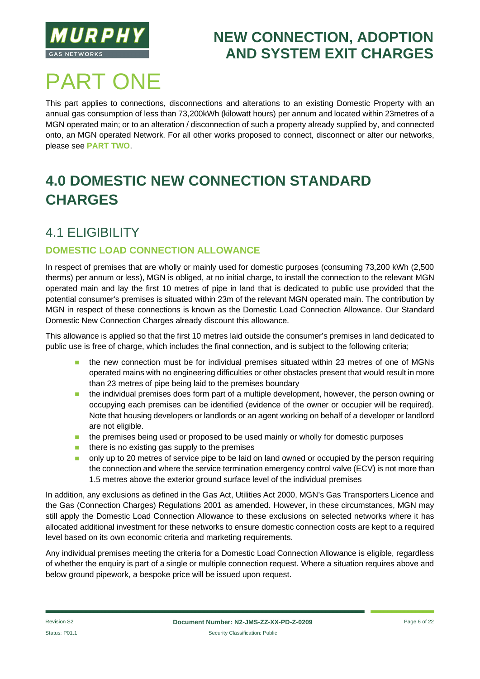

# PART ONE

This part applies to connections, disconnections and alterations to an existing Domestic Property with an annual gas consumption of less than 73,200kWh (kilowatt hours) per annum and located within 23metres of a MGN operated main; or to an alteration / disconnection of such a property already supplied by, and connected onto, an MGN operated Network. For all other works proposed to connect, disconnect or alter our networks, please see **PART TWO**.

# **4.0 DOMESTIC NEW CONNECTION STANDARD CHARGES**

#### 4.1 ELIGIBILITY

#### **DOMESTIC LOAD CONNECTION ALLOWANCE**

In respect of premises that are wholly or mainly used for domestic purposes (consuming 73,200 kWh (2,500 therms) per annum or less), MGN is obliged, at no initial charge, to install the connection to the relevant MGN operated main and lay the first 10 metres of pipe in land that is dedicated to public use provided that the potential consumer's premises is situated within 23m of the relevant MGN operated main. The contribution by MGN in respect of these connections is known as the Domestic Load Connection Allowance. Our Standard Domestic New Connection Charges already discount this allowance.

This allowance is applied so that the first 10 metres laid outside the consumer's premises in land dedicated to public use is free of charge, which includes the final connection, and is subject to the following criteria;

- $\blacksquare$  the new connection must be for individual premises situated within 23 metres of one of MGNs operated mains with no engineering difficulties or other obstacles present that would result in more than 23 metres of pipe being laid to the premises boundary
- n the individual premises does form part of a multiple development, however, the person owning or occupying each premises can be identified (evidence of the owner or occupier will be required). Note that housing developers or landlords or an agent working on behalf of a developer or landlord are not eligible.
- n the premises being used or proposed to be used mainly or wholly for domestic purposes
- $\blacksquare$  there is no existing gas supply to the premises
- n only up to 20 metres of service pipe to be laid on land owned or occupied by the person requiring the connection and where the service termination emergency control valve (ECV) is not more than 1.5 metres above the exterior ground surface level of the individual premises

In addition, any exclusions as defined in the Gas Act, Utilities Act 2000, MGN's Gas Transporters Licence and the Gas (Connection Charges) Regulations 2001 as amended. However, in these circumstances, MGN may still apply the Domestic Load Connection Allowance to these exclusions on selected networks where it has allocated additional investment for these networks to ensure domestic connection costs are kept to a required level based on its own economic criteria and marketing requirements.

Any individual premises meeting the criteria for a Domestic Load Connection Allowance is eligible, regardless of whether the enquiry is part of a single or multiple connection request. Where a situation requires above and below ground pipework, a bespoke price will be issued upon request.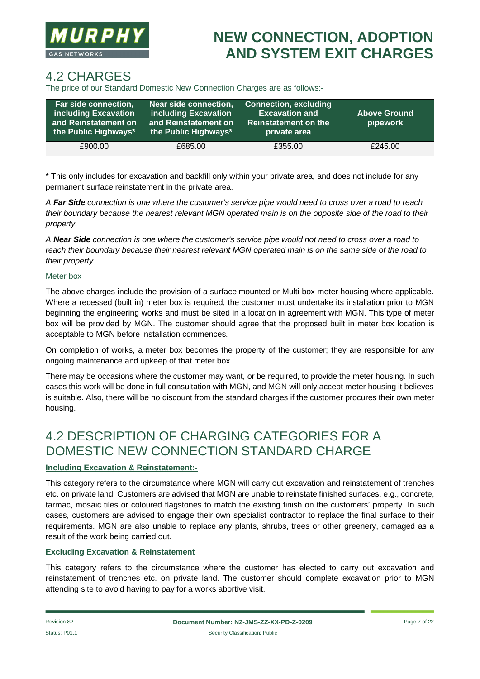

#### 4.2 CHARGES

The price of our Standard Domestic New Connection Charges are as follows:-

| Far side connection,<br>including Excavation<br>and Reinstatement on<br>the Public Highways* | Near side connection,<br>including Excavation<br>and Reinstatement on<br>the Public Highways* | Connection, excluding<br><b>Excavation and</b><br><b>Reinstatement on the</b><br>private area | <b>Above Ground</b><br>pipework |
|----------------------------------------------------------------------------------------------|-----------------------------------------------------------------------------------------------|-----------------------------------------------------------------------------------------------|---------------------------------|
| £900.00                                                                                      | £685.00                                                                                       | £355.00                                                                                       | £245.00                         |

\* This only includes for excavation and backfill only within your private area, and does not include for any permanent surface reinstatement in the private area.

*A Far Side connection is one where the customer's service pipe would need to cross over a road to reach their boundary because the nearest relevant MGN operated main is on the opposite side of the road to their property.*

*A Near Side connection is one where the customer's service pipe would not need to cross over a road to reach their boundary because their nearest relevant MGN operated main is on the same side of the road to their property.*

#### Meter box

The above charges include the provision of a surface mounted or Multi-box meter housing where applicable. Where a recessed (built in) meter box is required, the customer must undertake its installation prior to MGN beginning the engineering works and must be sited in a location in agreement with MGN. This type of meter box will be provided by MGN. The customer should agree that the proposed built in meter box location is acceptable to MGN before installation commences.

On completion of works, a meter box becomes the property of the customer; they are responsible for any ongoing maintenance and upkeep of that meter box.

There may be occasions where the customer may want, or be required, to provide the meter housing. In such cases this work will be done in full consultation with MGN, and MGN will only accept meter housing it believes is suitable. Also, there will be no discount from the standard charges if the customer procures their own meter housing.

#### 4.2 DESCRIPTION OF CHARGING CATEGORIES FOR A DOMESTIC NEW CONNECTION STANDARD CHARGE

#### **Including Excavation & Reinstatement:-**

This category refers to the circumstance where MGN will carry out excavation and reinstatement of trenches etc. on private land. Customers are advised that MGN are unable to reinstate finished surfaces, e.g., concrete, tarmac, mosaic tiles or coloured flagstones to match the existing finish on the customers' property. In such cases, customers are advised to engage their own specialist contractor to replace the final surface to their requirements. MGN are also unable to replace any plants, shrubs, trees or other greenery, damaged as a result of the work being carried out.

#### **Excluding Excavation & Reinstatement**

This category refers to the circumstance where the customer has elected to carry out excavation and reinstatement of trenches etc. on private land. The customer should complete excavation prior to MGN attending site to avoid having to pay for a works abortive visit.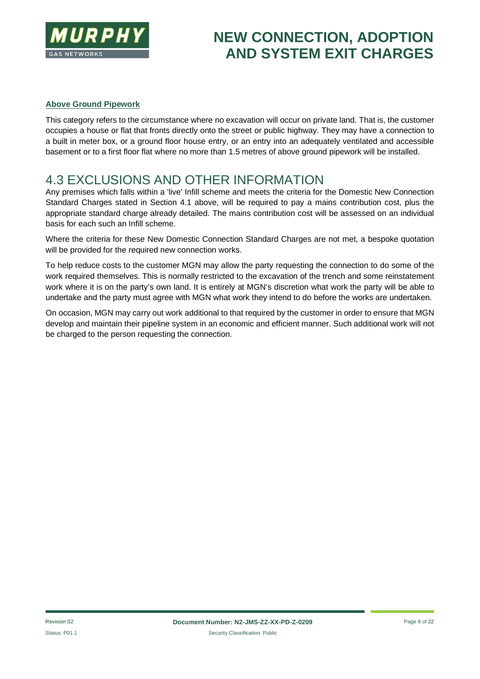

#### **Above Ground Pipework**

This category refers to the circumstance where no excavation will occur on private land. That is, the customer occupies a house or flat that fronts directly onto the street or public highway. They may have a connection to a built in meter box, or a ground floor house entry, or an entry into an adequately ventilated and accessible basement or to a first floor flat where no more than 1.5 metres of above ground pipework will be installed.

#### 4.3 EXCLUSIONS AND OTHER INFORMATION

Any premises which falls within a 'live' Infill scheme and meets the criteria for the Domestic New Connection Standard Charges stated in Section 4.1 above, will be required to pay a mains contribution cost, plus the appropriate standard charge already detailed. The mains contribution cost will be assessed on an individual basis for each such an Infill scheme.

Where the criteria for these New Domestic Connection Standard Charges are not met, a bespoke quotation will be provided for the required new connection works.

To help reduce costs to the customer MGN may allow the party requesting the connection to do some of the work required themselves. This is normally restricted to the excavation of the trench and some reinstatement work where it is on the party's own land. It is entirely at MGN's discretion what work the party will be able to undertake and the party must agree with MGN what work they intend to do before the works are undertaken.

On occasion, MGN may carry out work additional to that required by the customer in order to ensure that MGN develop and maintain their pipeline system in an economic and efficient manner. Such additional work will not be charged to the person requesting the connection.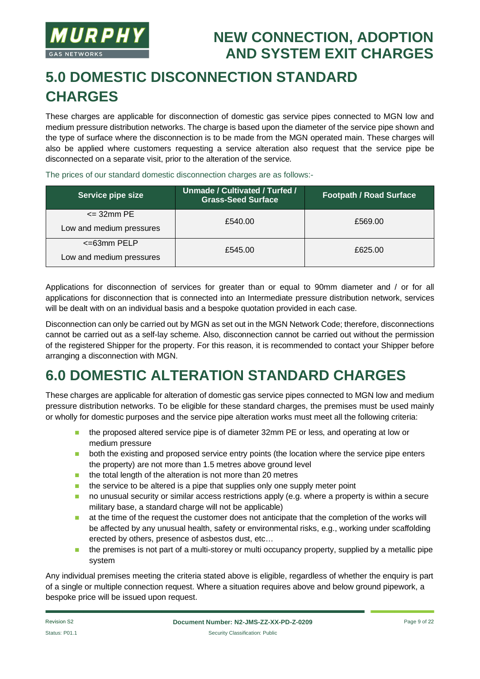

# **5.0 DOMESTIC DISCONNECTION STANDARD CHARGES**

These charges are applicable for disconnection of domestic gas service pipes connected to MGN low and medium pressure distribution networks. The charge is based upon the diameter of the service pipe shown and the type of surface where the disconnection is to be made from the MGN operated main. These charges will also be applied where customers requesting a service alteration also request that the service pipe be disconnected on a separate visit, prior to the alteration of the service.

The prices of our standard domestic disconnection charges are as follows:-

| Service pipe size        | Unmade / Cultivated / Turfed /<br><b>Grass-Seed Surface</b> | <b>Footpath / Road Surface</b> |  |
|--------------------------|-------------------------------------------------------------|--------------------------------|--|
| $\epsilon$ = 32mm PE     | £540.00                                                     | £569.00                        |  |
| Low and medium pressures |                                                             |                                |  |
| $\epsilon$ =63mm PELP    | £545.00                                                     | £625.00                        |  |
| Low and medium pressures |                                                             |                                |  |

Applications for disconnection of services for greater than or equal to 90mm diameter and / or for all applications for disconnection that is connected into an Intermediate pressure distribution network, services will be dealt with on an individual basis and a bespoke quotation provided in each case.

Disconnection can only be carried out by MGN as set out in the MGN Network Code; therefore, disconnections cannot be carried out as a self-lay scheme. Also, disconnection cannot be carried out without the permission of the registered Shipper for the property. For this reason, it is recommended to contact your Shipper before arranging a disconnection with MGN.

# **6.0 DOMESTIC ALTERATION STANDARD CHARGES**

These charges are applicable for alteration of domestic gas service pipes connected to MGN low and medium pressure distribution networks. To be eligible for these standard charges, the premises must be used mainly or wholly for domestic purposes and the service pipe alteration works must meet all the following criteria:

- **n** the proposed altered service pipe is of diameter 32mm PE or less, and operating at low or medium pressure
- **n** both the existing and proposed service entry points (the location where the service pipe enters the property) are not more than 1.5 metres above ground level
- $\blacksquare$  the total length of the alteration is not more than 20 metres
- $\blacksquare$  the service to be altered is a pipe that supplies only one supply meter point
- no unusual security or similar access restrictions apply (e.g. where a property is within a secure military base, a standard charge will not be applicable)
- n at the time of the request the customer does not anticipate that the completion of the works will be affected by any unusual health, safety or environmental risks, e.g., working under scaffolding erected by others, presence of asbestos dust, etc…
- $\blacksquare$  the premises is not part of a multi-storey or multi occupancy property, supplied by a metallic pipe system

Any individual premises meeting the criteria stated above is eligible, regardless of whether the enquiry is part of a single or multiple connection request. Where a situation requires above and below ground pipework, a bespoke price will be issued upon request.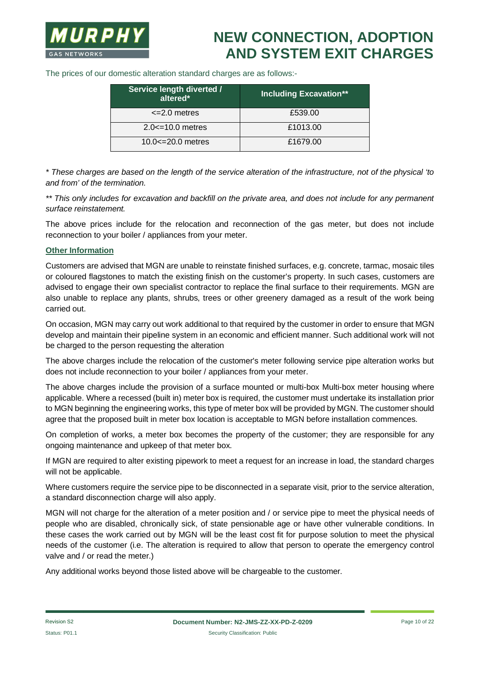The prices of our domestic alteration standard charges are as follows:-

| Service length diverted /<br>altered* | <b>Including Excavation**</b> |
|---------------------------------------|-------------------------------|
| $\leq$ 2.0 metres                     | £539.00                       |
| $2.0 \le 10.0$ metres                 | £1013.00                      |
| $10.0 \le 20.0$ metres                | £1679.00                      |

*\* These charges are based on the length of the service alteration of the infrastructure, not of the physical 'to and from' of the termination.*

*\*\* This only includes for excavation and backfill on the private area, and does not include for any permanent surface reinstatement.*

The above prices include for the relocation and reconnection of the gas meter, but does not include reconnection to your boiler / appliances from your meter.

#### **Other Information**

Customers are advised that MGN are unable to reinstate finished surfaces, e.g. concrete, tarmac, mosaic tiles or coloured flagstones to match the existing finish on the customer's property. In such cases, customers are advised to engage their own specialist contractor to replace the final surface to their requirements. MGN are also unable to replace any plants, shrubs, trees or other greenery damaged as a result of the work being carried out.

On occasion, MGN may carry out work additional to that required by the customer in order to ensure that MGN develop and maintain their pipeline system in an economic and efficient manner. Such additional work will not be charged to the person requesting the alteration

The above charges include the relocation of the customer's meter following service pipe alteration works but does not include reconnection to your boiler / appliances from your meter.

The above charges include the provision of a surface mounted or multi-box Multi-box meter housing where applicable. Where a recessed (built in) meter box is required, the customer must undertake its installation prior to MGN beginning the engineering works, this type of meter box will be provided by MGN. The customer should agree that the proposed built in meter box location is acceptable to MGN before installation commences.

On completion of works, a meter box becomes the property of the customer; they are responsible for any ongoing maintenance and upkeep of that meter box.

If MGN are required to alter existing pipework to meet a request for an increase in load, the standard charges will not be applicable.

Where customers require the service pipe to be disconnected in a separate visit, prior to the service alteration, a standard disconnection charge will also apply.

MGN will not charge for the alteration of a meter position and / or service pipe to meet the physical needs of people who are disabled, chronically sick, of state pensionable age or have other vulnerable conditions. In these cases the work carried out by MGN will be the least cost fit for purpose solution to meet the physical needs of the customer (i.e. The alteration is required to allow that person to operate the emergency control valve and / or read the meter.)

Any additional works beyond those listed above will be chargeable to the customer.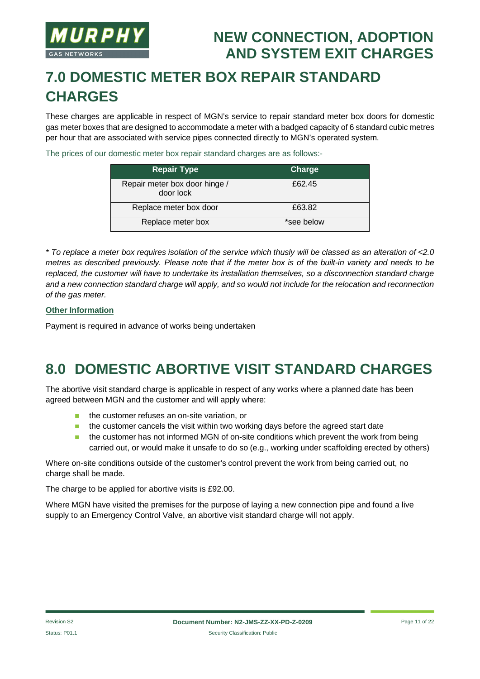

# **7.0 DOMESTIC METER BOX REPAIR STANDARD CHARGES**

These charges are applicable in respect of MGN's service to repair standard meter box doors for domestic gas meter boxes that are designed to accommodate a meter with a badged capacity of 6 standard cubic metres per hour that are associated with service pipes connected directly to MGN's operated system.

The prices of our domestic meter box repair standard charges are as follows:-

| <b>Repair Type</b>                         | Charge     |
|--------------------------------------------|------------|
| Repair meter box door hinge /<br>door lock | £62.45     |
| Replace meter box door                     | £63.82     |
| Replace meter box                          | *see below |

*\* To replace a meter box requires isolation of the service which thusly will be classed as an alteration of <2.0 metres as described previously. Please note that if the meter box is of the built-in variety and needs to be replaced, the customer will have to undertake its installation themselves, so a disconnection standard charge and a new connection standard charge will apply, and so would not include for the relocation and reconnection of the gas meter.*

#### **Other Information**

Payment is required in advance of works being undertaken

#### **8.0 DOMESTIC ABORTIVE VISIT STANDARD CHARGES**

The abortive visit standard charge is applicable in respect of any works where a planned date has been agreed between MGN and the customer and will apply where:

- $\blacksquare$  the customer refuses an on-site variation, or
- $\blacksquare$  the customer cancels the visit within two working days before the agreed start date
- the customer has not informed MGN of on-site conditions which prevent the work from being carried out, or would make it unsafe to do so (e.g., working under scaffolding erected by others)

Where on-site conditions outside of the customer's control prevent the work from being carried out, no charge shall be made.

The charge to be applied for abortive visits is £92.00.

Where MGN have visited the premises for the purpose of laying a new connection pipe and found a live supply to an Emergency Control Valve, an abortive visit standard charge will not apply.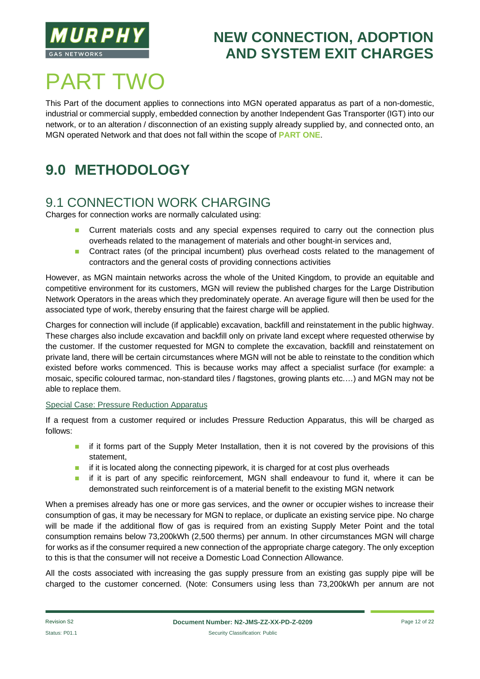

# **PART TWO**

This Part of the document applies to connections into MGN operated apparatus as part of a non-domestic, industrial or commercial supply, embedded connection by another Independent Gas Transporter (IGT) into our network, or to an alteration / disconnection of an existing supply already supplied by, and connected onto, an MGN operated Network and that does not fall within the scope of **PART ONE**.

# **9.0 METHODOLOGY**

#### 9.1 CONNECTION WORK CHARGING

Charges for connection works are normally calculated using:

- **n** Current materials costs and any special expenses required to carry out the connection plus overheads related to the management of materials and other bought-in services and,
- **n** Contract rates (of the principal incumbent) plus overhead costs related to the management of contractors and the general costs of providing connections activities

However, as MGN maintain networks across the whole of the United Kingdom, to provide an equitable and competitive environment for its customers, MGN will review the published charges for the Large Distribution Network Operators in the areas which they predominately operate. An average figure will then be used for the associated type of work, thereby ensuring that the fairest charge will be applied.

Charges for connection will include (if applicable) excavation, backfill and reinstatement in the public highway. These charges also include excavation and backfill only on private land except where requested otherwise by the customer. If the customer requested for MGN to complete the excavation, backfill and reinstatement on private land, there will be certain circumstances where MGN will not be able to reinstate to the condition which existed before works commenced. This is because works may affect a specialist surface (for example: a mosaic, specific coloured tarmac, non-standard tiles / flagstones, growing plants etc.…) and MGN may not be able to replace them.

#### Special Case: Pressure Reduction Apparatus

If a request from a customer required or includes Pressure Reduction Apparatus, this will be charged as follows:

- **n** if it forms part of the Supply Meter Installation, then it is not covered by the provisions of this statement,
- $\blacksquare$  if it is located along the connecting pipework, it is charged for at cost plus overheads
- **n** if it is part of any specific reinforcement, MGN shall endeavour to fund it, where it can be demonstrated such reinforcement is of a material benefit to the existing MGN network

When a premises already has one or more gas services, and the owner or occupier wishes to increase their consumption of gas, it may be necessary for MGN to replace, or duplicate an existing service pipe. No charge will be made if the additional flow of gas is required from an existing Supply Meter Point and the total consumption remains below 73,200kWh (2,500 therms) per annum. In other circumstances MGN will charge for works as if the consumer required a new connection of the appropriate charge category. The only exception to this is that the consumer will not receive a Domestic Load Connection Allowance.

All the costs associated with increasing the gas supply pressure from an existing gas supply pipe will be charged to the customer concerned. (Note: Consumers using less than 73,200kWh per annum are not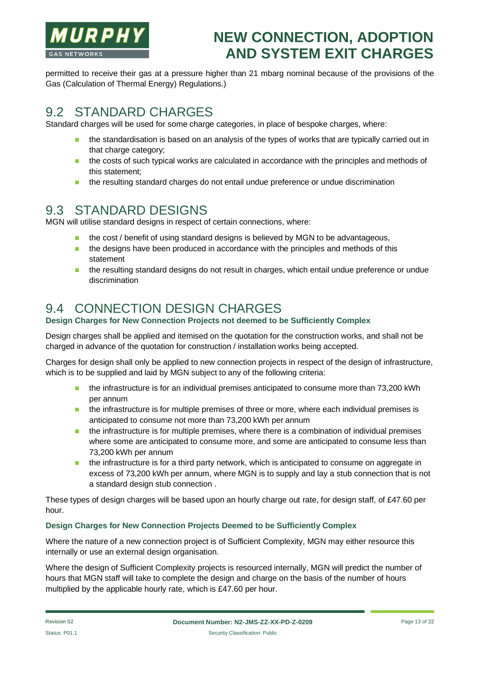

permitted to receive their gas at a pressure higher than 21 mbarg nominal because of the provisions of the Gas (Calculation of Thermal Energy) Regulations.)

#### 9.2 STANDARD CHARGES

Standard charges will be used for some charge categories, in place of bespoke charges, where:

- the standardisation is based on an analysis of the types of works that are typically carried out in that charge category;
- n the costs of such typical works are calculated in accordance with the principles and methods of this statement;
- n the resulting standard charges do not entail undue preference or undue discrimination

#### 9.3 STANDARD DESIGNS

MGN will utilise standard designs in respect of certain connections, where:

- n the cost / benefit of using standard designs is believed by MGN to be advantageous,
- $\blacksquare$  the designs have been produced in accordance with the principles and methods of this statement
- n the resulting standard designs do not result in charges, which entail undue preference or undue discrimination

#### 9.4 CONNECTION DESIGN CHARGES

#### **Design Charges for New Connection Projects not deemed to be Sufficiently Complex**

Design charges shall be applied and itemised on the quotation for the construction works, and shall not be charged in advance of the quotation for construction / installation works being accepted.

Charges for design shall only be applied to new connection projects in respect of the design of infrastructure, which is to be supplied and laid by MGN subject to any of the following criteria:

- n the infrastructure is for an individual premises anticipated to consume more than 73,200 kWh per annum
- $\blacksquare$  the infrastructure is for multiple premises of three or more, where each individual premises is anticipated to consume not more than 73,200 kWh per annum
- $\blacksquare$  the infrastructure is for multiple premises, where there is a combination of individual premises where some are anticipated to consume more, and some are anticipated to consume less than 73,200 kWh per annum
- **n** the infrastructure is for a third party network, which is anticipated to consume on aggregate in excess of 73,200 kWh per annum, where MGN is to supply and lay a stub connection that is not a standard design stub connection .

These types of design charges will be based upon an hourly charge out rate, for design staff, of £47.60 per hour.

#### **Design Charges for New Connection Projects Deemed to be Sufficiently Complex**

Where the nature of a new connection project is of Sufficient Complexity, MGN may either resource this internally or use an external design organisation.

Where the design of Sufficient Complexity projects is resourced internally, MGN will predict the number of hours that MGN staff will take to complete the design and charge on the basis of the number of hours multiplied by the applicable hourly rate, which is £47.60 per hour.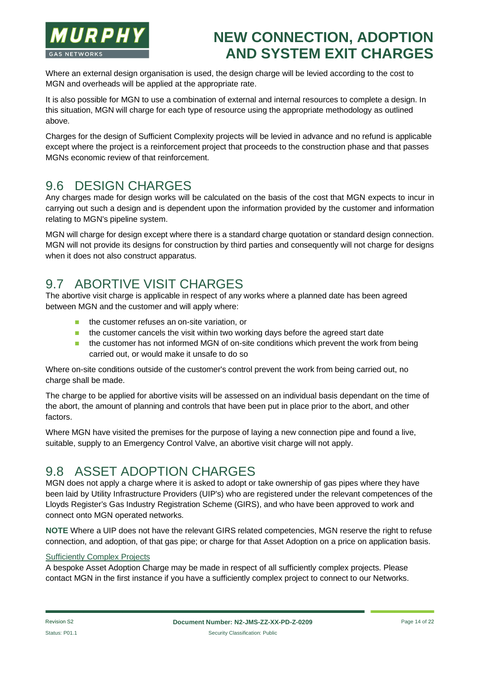

Where an external design organisation is used, the design charge will be levied according to the cost to MGN and overheads will be applied at the appropriate rate.

It is also possible for MGN to use a combination of external and internal resources to complete a design. In this situation, MGN will charge for each type of resource using the appropriate methodology as outlined above.

Charges for the design of Sufficient Complexity projects will be levied in advance and no refund is applicable except where the project is a reinforcement project that proceeds to the construction phase and that passes MGNs economic review of that reinforcement.

#### 9.6 DESIGN CHARGES

Any charges made for design works will be calculated on the basis of the cost that MGN expects to incur in carrying out such a design and is dependent upon the information provided by the customer and information relating to MGN's pipeline system.

MGN will charge for design except where there is a standard charge quotation or standard design connection. MGN will not provide its designs for construction by third parties and consequently will not charge for designs when it does not also construct apparatus.

#### 9.7 ABORTIVE VISIT CHARGES

The abortive visit charge is applicable in respect of any works where a planned date has been agreed between MGN and the customer and will apply where:

- **n** the customer refuses an on-site variation, or
- $\blacksquare$  the customer cancels the visit within two working days before the agreed start date
- $\blacksquare$  the customer has not informed MGN of on-site conditions which prevent the work from being carried out, or would make it unsafe to do so

Where on-site conditions outside of the customer's control prevent the work from being carried out, no charge shall be made.

The charge to be applied for abortive visits will be assessed on an individual basis dependant on the time of the abort, the amount of planning and controls that have been put in place prior to the abort, and other factors.

Where MGN have visited the premises for the purpose of laying a new connection pipe and found a live, suitable, supply to an Emergency Control Valve, an abortive visit charge will not apply.

#### 9.8 ASSET ADOPTION CHARGES

MGN does not apply a charge where it is asked to adopt or take ownership of gas pipes where they have been laid by Utility Infrastructure Providers (UIP's) who are registered under the relevant competences of the Lloyds Register's Gas Industry Registration Scheme (GIRS), and who have been approved to work and connect onto MGN operated networks.

**NOTE** Where a UIP does not have the relevant GIRS related competencies, MGN reserve the right to refuse connection, and adoption, of that gas pipe; or charge for that Asset Adoption on a price on application basis.

#### Sufficiently Complex Projects

A bespoke Asset Adoption Charge may be made in respect of all sufficiently complex projects. Please contact MGN in the first instance if you have a sufficiently complex project to connect to our Networks.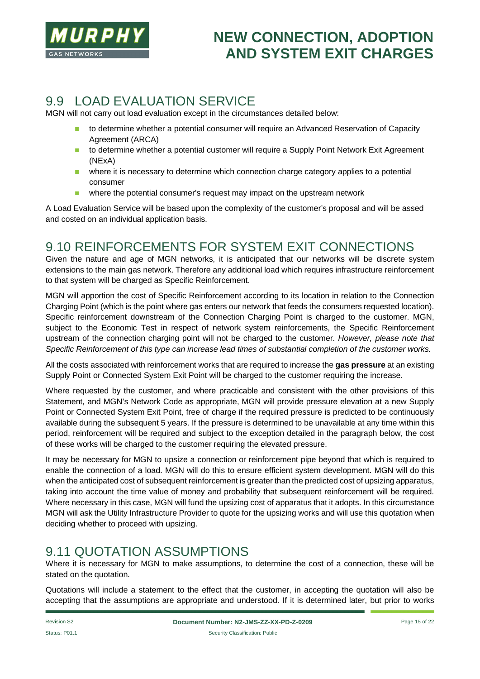

#### 9.9 LOAD EVALUATION SERVICE

MGN will not carry out load evaluation except in the circumstances detailed below:

- to determine whether a potential consumer will require an Advanced Reservation of Capacity Agreement (ARCA)
- to determine whether a potential customer will require a Supply Point Network Exit Agreement (NExA)
- **n** where it is necessary to determine which connection charge category applies to a potential consumer
- **n** where the potential consumer's request may impact on the upstream network

A Load Evaluation Service will be based upon the complexity of the customer's proposal and will be assed and costed on an individual application basis.

#### 9.10 REINFORCEMENTS FOR SYSTEM EXIT CONNECTIONS

Given the nature and age of MGN networks, it is anticipated that our networks will be discrete system extensions to the main gas network. Therefore any additional load which requires infrastructure reinforcement to that system will be charged as Specific Reinforcement.

MGN will apportion the cost of Specific Reinforcement according to its location in relation to the Connection Charging Point (which is the point where gas enters our network that feeds the consumers requested location). Specific reinforcement downstream of the Connection Charging Point is charged to the customer. MGN, subject to the Economic Test in respect of network system reinforcements, the Specific Reinforcement upstream of the connection charging point will not be charged to the customer. *However, please note that Specific Reinforcement of this type can increase lead times of substantial completion of the customer works.*

All the costs associated with reinforcement works that are required to increase the **gas pressure** at an existing Supply Point or Connected System Exit Point will be charged to the customer requiring the increase.

Where requested by the customer, and where practicable and consistent with the other provisions of this Statement, and MGN's Network Code as appropriate, MGN will provide pressure elevation at a new Supply Point or Connected System Exit Point, free of charge if the required pressure is predicted to be continuously available during the subsequent 5 years. If the pressure is determined to be unavailable at any time within this period, reinforcement will be required and subject to the exception detailed in the paragraph below, the cost of these works will be charged to the customer requiring the elevated pressure.

It may be necessary for MGN to upsize a connection or reinforcement pipe beyond that which is required to enable the connection of a load. MGN will do this to ensure efficient system development. MGN will do this when the anticipated cost of subsequent reinforcement is greater than the predicted cost of upsizing apparatus, taking into account the time value of money and probability that subsequent reinforcement will be required. Where necessary in this case, MGN will fund the upsizing cost of apparatus that it adopts. In this circumstance MGN will ask the Utility Infrastructure Provider to quote for the upsizing works and will use this quotation when deciding whether to proceed with upsizing.

#### 9.11 QUOTATION ASSUMPTIONS

Where it is necessary for MGN to make assumptions, to determine the cost of a connection, these will be stated on the quotation.

Quotations will include a statement to the effect that the customer, in accepting the quotation will also be accepting that the assumptions are appropriate and understood. If it is determined later, but prior to works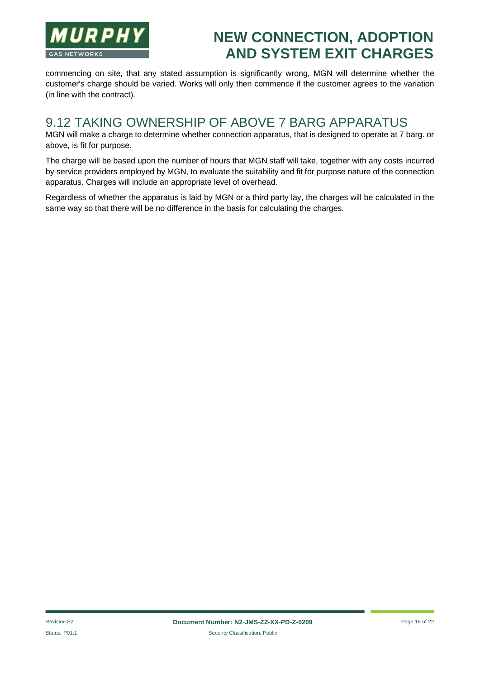

commencing on site, that any stated assumption is significantly wrong, MGN will determine whether the customer's charge should be varied. Works will only then commence if the customer agrees to the variation (in line with the contract).

#### 9.12 TAKING OWNERSHIP OF ABOVE 7 BARG APPARATUS

MGN will make a charge to determine whether connection apparatus, that is designed to operate at 7 barg. or above, is fit for purpose.

The charge will be based upon the number of hours that MGN staff will take, together with any costs incurred by service providers employed by MGN, to evaluate the suitability and fit for purpose nature of the connection apparatus. Charges will include an appropriate level of overhead.

Regardless of whether the apparatus is laid by MGN or a third party lay, the charges will be calculated in the same way so that there will be no difference in the basis for calculating the charges.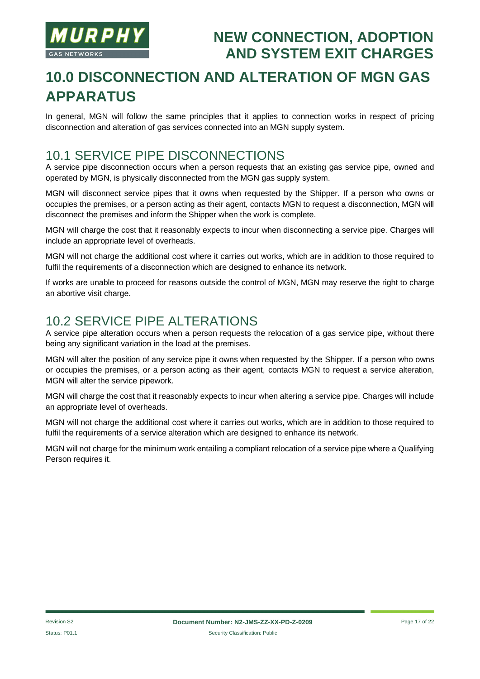

# **10.0 DISCONNECTION AND ALTERATION OF MGN GAS APPARATUS**

In general, MGN will follow the same principles that it applies to connection works in respect of pricing disconnection and alteration of gas services connected into an MGN supply system.

#### 10.1 SERVICE PIPE DISCONNECTIONS

A service pipe disconnection occurs when a person requests that an existing gas service pipe, owned and operated by MGN, is physically disconnected from the MGN gas supply system.

MGN will disconnect service pipes that it owns when requested by the Shipper. If a person who owns or occupies the premises, or a person acting as their agent, contacts MGN to request a disconnection, MGN will disconnect the premises and inform the Shipper when the work is complete.

MGN will charge the cost that it reasonably expects to incur when disconnecting a service pipe. Charges will include an appropriate level of overheads.

MGN will not charge the additional cost where it carries out works, which are in addition to those required to fulfil the requirements of a disconnection which are designed to enhance its network.

If works are unable to proceed for reasons outside the control of MGN, MGN may reserve the right to charge an abortive visit charge.

#### 10.2 SERVICE PIPE ALTERATIONS

A service pipe alteration occurs when a person requests the relocation of a gas service pipe, without there being any significant variation in the load at the premises.

MGN will alter the position of any service pipe it owns when requested by the Shipper. If a person who owns or occupies the premises, or a person acting as their agent, contacts MGN to request a service alteration, MGN will alter the service pipework.

MGN will charge the cost that it reasonably expects to incur when altering a service pipe. Charges will include an appropriate level of overheads.

MGN will not charge the additional cost where it carries out works, which are in addition to those required to fulfil the requirements of a service alteration which are designed to enhance its network.

MGN will not charge for the minimum work entailing a compliant relocation of a service pipe where a Qualifying Person requires it.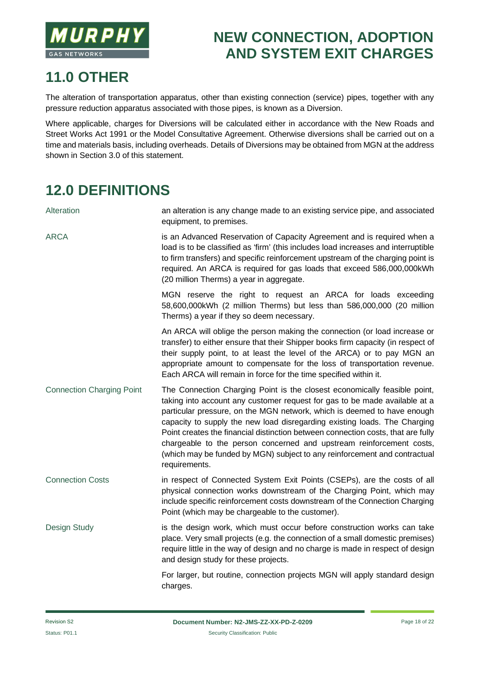

### **11.0 OTHER**

The alteration of transportation apparatus, other than existing connection (service) pipes, together with any pressure reduction apparatus associated with those pipes, is known as a Diversion.

Where applicable, charges for Diversions will be calculated either in accordance with the New Roads and Street Works Act 1991 or the Model Consultative Agreement. Otherwise diversions shall be carried out on a time and materials basis, including overheads. Details of Diversions may be obtained from MGN at the address shown in Section 3.0 of this statement.

# **12.0 DEFINITIONS**

| Alteration                       | an alteration is any change made to an existing service pipe, and associated<br>equipment, to premises.                                                                                                                                                                                                                                                                                                                                                                                                                                                                   |
|----------------------------------|---------------------------------------------------------------------------------------------------------------------------------------------------------------------------------------------------------------------------------------------------------------------------------------------------------------------------------------------------------------------------------------------------------------------------------------------------------------------------------------------------------------------------------------------------------------------------|
| <b>ARCA</b>                      | is an Advanced Reservation of Capacity Agreement and is required when a<br>load is to be classified as 'firm' (this includes load increases and interruptible<br>to firm transfers) and specific reinforcement upstream of the charging point is<br>required. An ARCA is required for gas loads that exceed 586,000,000kWh<br>(20 million Therms) a year in aggregate.                                                                                                                                                                                                    |
|                                  | MGN reserve the right to request an ARCA for loads exceeding<br>58,600,000kWh (2 million Therms) but less than 586,000,000 (20 million<br>Therms) a year if they so deem necessary.                                                                                                                                                                                                                                                                                                                                                                                       |
|                                  | An ARCA will oblige the person making the connection (or load increase or<br>transfer) to either ensure that their Shipper books firm capacity (in respect of<br>their supply point, to at least the level of the ARCA) or to pay MGN an<br>appropriate amount to compensate for the loss of transportation revenue.<br>Each ARCA will remain in force for the time specified within it.                                                                                                                                                                                  |
| <b>Connection Charging Point</b> | The Connection Charging Point is the closest economically feasible point,<br>taking into account any customer request for gas to be made available at a<br>particular pressure, on the MGN network, which is deemed to have enough<br>capacity to supply the new load disregarding existing loads. The Charging<br>Point creates the financial distinction between connection costs, that are fully<br>chargeable to the person concerned and upstream reinforcement costs,<br>(which may be funded by MGN) subject to any reinforcement and contractual<br>requirements. |
| <b>Connection Costs</b>          | in respect of Connected System Exit Points (CSEPs), are the costs of all<br>physical connection works downstream of the Charging Point, which may<br>include specific reinforcement costs downstream of the Connection Charging<br>Point (which may be chargeable to the customer).                                                                                                                                                                                                                                                                                       |
| Design Study                     | is the design work, which must occur before construction works can take<br>place. Very small projects (e.g. the connection of a small domestic premises)<br>require little in the way of design and no charge is made in respect of design<br>and design study for these projects.                                                                                                                                                                                                                                                                                        |
|                                  | For larger, but routine, connection projects MGN will apply standard design<br>charges.                                                                                                                                                                                                                                                                                                                                                                                                                                                                                   |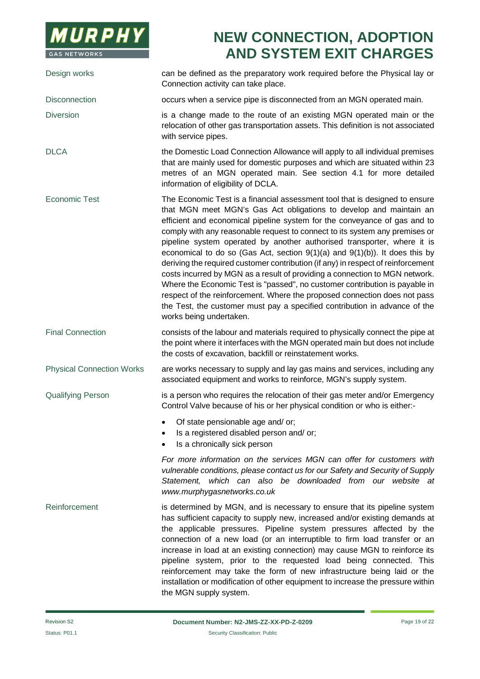

Design works can be defined as the preparatory work required before the Physical lay or Connection activity can take place. Disconnection **occurs** when a service pipe is disconnected from an MGN operated main. Diversion is a change made to the route of an existing MGN operated main or the relocation of other gas transportation assets. This definition is not associated with service pipes. DLCA the Domestic Load Connection Allowance will apply to all individual premises that are mainly used for domestic purposes and which are situated within 23 metres of an MGN operated main. See section 4.1 for more detailed information of eligibility of DCLA. Economic Test The Economic Test is a financial assessment tool that is designed to ensure that MGN meet MGN's Gas Act obligations to develop and maintain an efficient and economical pipeline system for the conveyance of gas and to comply with any reasonable request to connect to its system any premises or pipeline system operated by another authorised transporter, where it is economical to do so (Gas Act, section 9(1)(a) and 9(1)(b)). It does this by deriving the required customer contribution (if any) in respect of reinforcement costs incurred by MGN as a result of providing a connection to MGN network. Where the Economic Test is "passed", no customer contribution is payable in respect of the reinforcement. Where the proposed connection does not pass the Test, the customer must pay a specified contribution in advance of the works being undertaken. Final Connection consists of the labour and materials required to physically connect the pipe at the point where it interfaces with the MGN operated main but does not include the costs of excavation, backfill or reinstatement works. Physical Connection Works are works necessary to supply and lay gas mains and services, including any associated equipment and works to reinforce, MGN's supply system. Qualifying Person is a person who requires the relocation of their gas meter and/or Emergency Control Valve because of his or her physical condition or who is either:- · Of state pensionable age and/ or; Is a registered disabled person and/ or; Is a chronically sick person *For more information on the services MGN can offer for customers with vulnerable conditions, please contact us for our Safety and Security of Supply Statement, which can also be downloaded from our website at www.murphygasnetworks.co.uk* Reinforcement is determined by MGN, and is necessary to ensure that its pipeline system has sufficient capacity to supply new, increased and/or existing demands at the applicable pressures. Pipeline system pressures affected by the connection of a new load (or an interruptible to firm load transfer or an increase in load at an existing connection) may cause MGN to reinforce its pipeline system, prior to the requested load being connected. This reinforcement may take the form of new infrastructure being laid or the installation or modification of other equipment to increase the pressure within

the MGN supply system.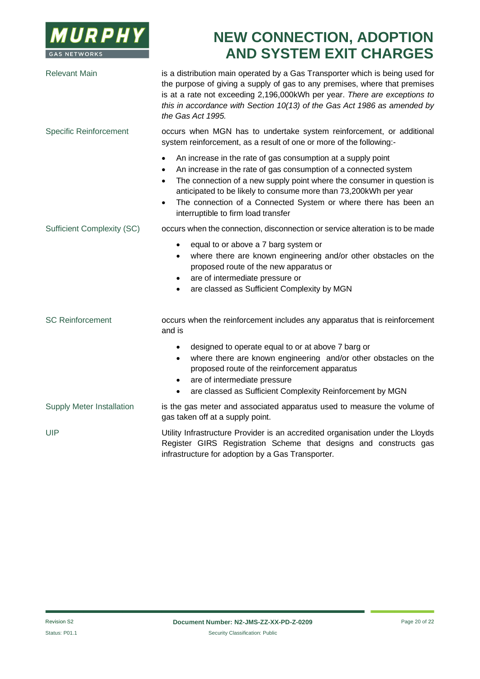

| <b>Relevant Main</b>              | is a distribution main operated by a Gas Transporter which is being used for<br>the purpose of giving a supply of gas to any premises, where that premises<br>is at a rate not exceeding 2,196,000kWh per year. There are exceptions to<br>this in accordance with Section 10(13) of the Gas Act 1986 as amended by<br>the Gas Act 1995.                                                                                             |
|-----------------------------------|--------------------------------------------------------------------------------------------------------------------------------------------------------------------------------------------------------------------------------------------------------------------------------------------------------------------------------------------------------------------------------------------------------------------------------------|
| <b>Specific Reinforcement</b>     | occurs when MGN has to undertake system reinforcement, or additional<br>system reinforcement, as a result of one or more of the following:-                                                                                                                                                                                                                                                                                          |
|                                   | An increase in the rate of gas consumption at a supply point<br>$\bullet$<br>An increase in the rate of gas consumption of a connected system<br>٠<br>The connection of a new supply point where the consumer in question is<br>$\bullet$<br>anticipated to be likely to consume more than 73,200kWh per year<br>The connection of a Connected System or where there has been an<br>$\bullet$<br>interruptible to firm load transfer |
| <b>Sufficient Complexity (SC)</b> | occurs when the connection, disconnection or service alteration is to be made                                                                                                                                                                                                                                                                                                                                                        |
|                                   | equal to or above a 7 barg system or<br>$\bullet$<br>where there are known engineering and/or other obstacles on the<br>$\bullet$<br>proposed route of the new apparatus or<br>are of intermediate pressure or<br>٠<br>are classed as Sufficient Complexity by MGN<br>$\bullet$                                                                                                                                                      |
| <b>SC Reinforcement</b>           | occurs when the reinforcement includes any apparatus that is reinforcement<br>and is                                                                                                                                                                                                                                                                                                                                                 |
|                                   | designed to operate equal to or at above 7 barg or<br>$\bullet$<br>where there are known engineering and/or other obstacles on the<br>$\bullet$<br>proposed route of the reinforcement apparatus<br>are of intermediate pressure<br>$\bullet$<br>are classed as Sufficient Complexity Reinforcement by MGN<br>$\bullet$                                                                                                              |
| Supply Meter Installation         | is the gas meter and associated apparatus used to measure the volume of<br>gas taken off at a supply point.                                                                                                                                                                                                                                                                                                                          |
| <b>UIP</b>                        | Utility Infrastructure Provider is an accredited organisation under the Lloyds<br>Register GIRS Registration Scheme that designs and constructs gas<br>infrastructure for adoption by a Gas Transporter.                                                                                                                                                                                                                             |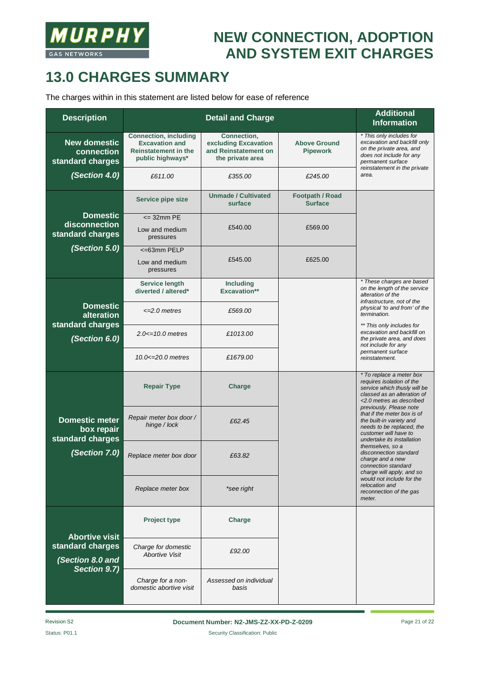

## **13.0 CHARGES SUMMARY**

The charges within in this statement are listed below for ease of reference

| <b>Description</b>                                      |                                                                                                          | <b>Additional</b><br><b>Information</b>                                         |                                          |                                                                                                                                                                                                                                                                                              |
|---------------------------------------------------------|----------------------------------------------------------------------------------------------------------|---------------------------------------------------------------------------------|------------------------------------------|----------------------------------------------------------------------------------------------------------------------------------------------------------------------------------------------------------------------------------------------------------------------------------------------|
| <b>New domestic</b><br>connection<br>standard charges   | <b>Connection, including</b><br><b>Excavation and</b><br><b>Reinstatement in the</b><br>public highways* | Connection,<br>excluding Excavation<br>and Reinstatement on<br>the private area | <b>Above Ground</b><br><b>Pipework</b>   | * This only includes for<br>excavation and backfill only<br>on the private area, and<br>does not include for any<br>permanent surface                                                                                                                                                        |
| (Section 4.0)                                           | £611.00                                                                                                  | £355.00                                                                         | £245.00                                  | reinstatement in the private<br>area.                                                                                                                                                                                                                                                        |
|                                                         | Service pipe size                                                                                        | <b>Unmade / Cultivated</b><br>surface                                           | <b>Footpath / Road</b><br><b>Surface</b> |                                                                                                                                                                                                                                                                                              |
| <b>Domestic</b>                                         | $\leq$ 32mm PE                                                                                           |                                                                                 |                                          |                                                                                                                                                                                                                                                                                              |
| disconnection<br>standard charges                       | Low and medium<br>pressures                                                                              | £540.00                                                                         | £569.00                                  |                                                                                                                                                                                                                                                                                              |
| (Section 5.0)                                           | <=63mm PELP                                                                                              |                                                                                 |                                          |                                                                                                                                                                                                                                                                                              |
|                                                         | Low and medium<br>pressures                                                                              | £545.00                                                                         | £625.00                                  |                                                                                                                                                                                                                                                                                              |
|                                                         | <b>Service length</b><br>diverted / altered*                                                             | <b>Including</b><br>Excavation**                                                |                                          | * These charges are based<br>on the length of the service<br>alteration of the<br>infrastructure, not of the                                                                                                                                                                                 |
| <b>Domestic</b><br>alteration<br>standard charges       | $\leq$ 2.0 metres                                                                                        | £569.00                                                                         |                                          | physical 'to and from' of the<br>termination.<br>** This only includes for<br>excavation and backfill on<br>the private area, and does<br>not include for any<br>permanent surface<br>reinstatement.                                                                                         |
| (Section 6.0)                                           | $2.0 \le 10.0$ metres                                                                                    | £1013.00                                                                        |                                          |                                                                                                                                                                                                                                                                                              |
|                                                         | $10.0 \le 20.0$ metres                                                                                   | £1679.00                                                                        |                                          |                                                                                                                                                                                                                                                                                              |
|                                                         | <b>Repair Type</b>                                                                                       | <b>Charge</b>                                                                   |                                          | * To replace a meter box<br>requires isolation of the<br>service which thusly will be<br>classed as an alteration of<br><2.0 metres as described                                                                                                                                             |
| <b>Domestic meter</b><br>box repair<br>standard charges | Repair meter box door /<br>hinge / lock                                                                  | £62.45                                                                          |                                          | previously. Please note<br>that if the meter box is of<br>the built-in variety and<br>needs to be replaced, the<br>customer will have to<br>undertake its installation<br>themselves, so a<br>disconnection standard<br>charge and a new<br>connection standard<br>charge will apply, and so |
| (Section 7.0)                                           | Replace meter box door                                                                                   | £63.82                                                                          |                                          |                                                                                                                                                                                                                                                                                              |
|                                                         | Replace meter box                                                                                        | *see right                                                                      |                                          | would not include for the<br>relocation and<br>reconnection of the gas<br>meter.                                                                                                                                                                                                             |
| <b>Abortive visit</b>                                   | <b>Project type</b>                                                                                      | Charge                                                                          |                                          |                                                                                                                                                                                                                                                                                              |
| standard charges<br>(Section 8.0 and<br>Section 9.7)    | Charge for domestic<br><b>Abortive Visit</b>                                                             | £92.00                                                                          |                                          |                                                                                                                                                                                                                                                                                              |
|                                                         | Charge for a non-<br>domestic abortive visit                                                             | Assessed on individual<br>basis                                                 |                                          |                                                                                                                                                                                                                                                                                              |